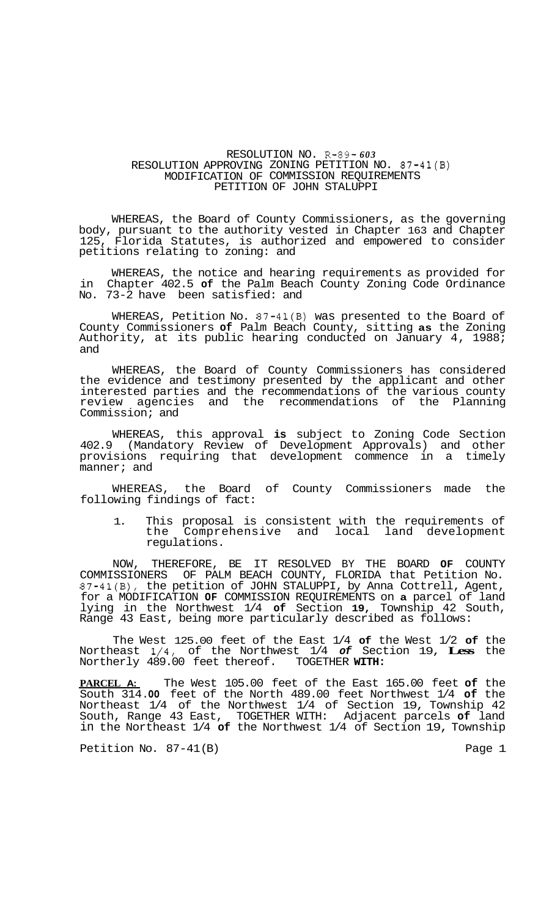## RESOLUTION NO. R-89- *603*  RESOLUTION APPROVING ZONING PETITION NO. 87-41(B) MODIFICATION OF COMMISSION REQUIREMENTS PETITION OF JOHN STALUPPI

WHEREAS, the Board of County Commissioners, as the governing body, pursuant to the authority vested in Chapter 163 and Chapter 125, Florida Statutes, is authorized and empowered to consider petitions relating to zoning: and

WHEREAS, the notice and hearing requirements as provided for in Chapter 402.5 **of** the Palm Beach County Zoning Code Ordinance No. 73-2 have been satisfied: and

WHEREAS, Petition No. 87-41(B) was presented to the Board of County Commissioners **of** Palm Beach County, sitting **as** the Zoning Authority, at its public hearing conducted on January 4, 1988; and

WHEREAS, the Board of County Commissioners has considered the evidence and testimony presented by the applicant and other interested parties and the recommendations of the various county review agencies and the recommendations of the Planning Commission; and

WHEREAS, this approval **is** subject to Zoning Code Section 402.9 (Mandatory Review of Development Approvals) and other provisions requiring that development commence in a timely manner; and

WHEREAS, the Board of County Commissioners made the following findings of fact:

1. This proposal is consistent with the requirements of<br>the Comprehensive and local land development Comprehensive and local land development regulations.

NOW, THEREFORE, BE IT RESOLVED BY THE BOARD **OF** COUNTY COMMISSIONERS OF PALM BEACH COUNTY, FLORIDA that Petition No. 87-41(B), the petition of JOHN STALUPPI, by Anna Cottrell, Agent, for a MODIFICATION **OF** COMMISSION REQUIREMENTS on **a** parcel of land lying in the Northwest 1/4 **of** Section **19,** Township 42 South, Range 43 East, being more particularly described as follows:

The West 125.00 feet of the East 1/4 **of** the West 1/2 **of** the Northeast 1/4, of the Northwest 1/4 *of* Section 19, **Less** the Northerly 489.00 feet thereof. TOGETHER **WITH:** 

**PARCEL A:** The West 105.00 feet of the East 165.00 feet **of** the South 314 **.OO** feet of the North 489.00 feet Northwest 1/4 **of** the Northeast 1/4 of the Northwest 1/4 of Section 19, Township 42 South, Range 43 East, TOGETHER WITH: Adjacent parcels **of** land in the Northeast 1/4 **of** the Northwest 1/4 of Section 19, Township

Petition No. 87-41(B) example the page 1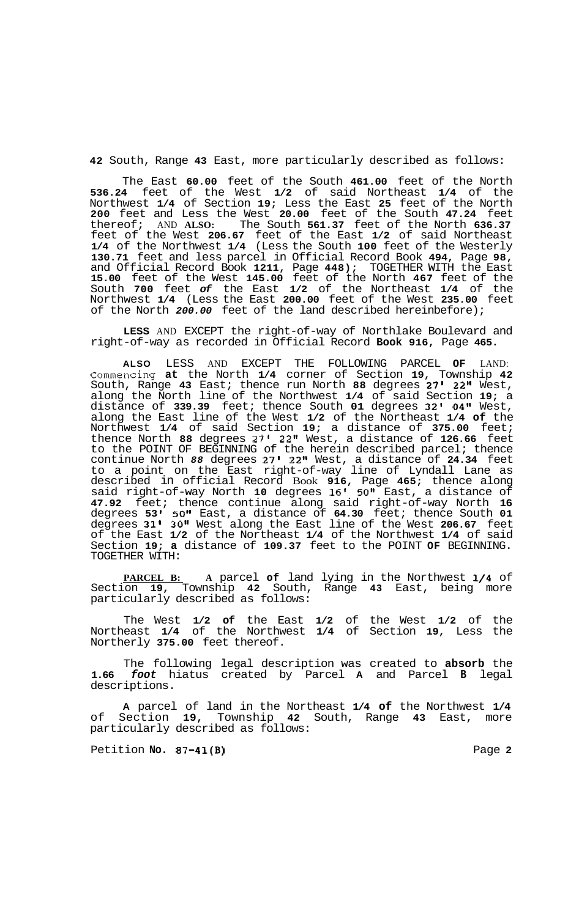**42** South, Range **43** East, more particularly described as follows:

The East **60.00** feet of the South **461.00** feet of the North **536.24** feet of the West **1/2** of said Northeast **1/4** of the Northwest **1/4** of Section **19;** Less the East **25** feet of the North **200** feet and Less the West **20.00** feet of the South **47.24** feet thereof; AND **ALSO:** The South **561.37** feet of the North **636.37**  feet of the West **206.67** feet of the East **1/2** of said Northeast **1/4** of the Northwest **1/4** (Less the South **100** feet of the Westerly **130.71** feet and less parcel in Official Record Book **494,** Page **98,**  and Official Record Book **1211,** Page **448);** TOGETHER WITH the East **15.00** feet of the West **145.00** feet of the North **467** feet of the South **700** feet *of* the East **1/2** of the Northeast **1/4** of the Northwest **1/4** (Less the East **200.00** feet of the West **235.00** feet of the North *200.00* feet of the land described hereinbefore);

**LESS** AND EXCEPT the right-of-way of Northlake Boulevard and right-of-way as recorded in Official Record **Book 916,** Page **465.** 

**ALSO** LESS AND EXCEPT THE FOLLOWING PARCEL **OF** LAND: Commencing **at** the North **1/4** corner of Section **19,** Township **42**  South, Range **43** East; thence run North **88** degrees **27' 22"** West, along the North line of the Northwest **1/4** of said Section **19;** a distance of **339.39** feet; thence South **01** degrees **32' 04"** West, along the East line of the West **1/2** of the Northeast **1/4 of** the Northwest **1/4** of said Section **19;** a distance of **375.00** feet; thence North **88** degrees *27'* **22''** West, a distance of **126.66** feet to the POINT OF BEGINNING of the herein described parcel; thence continue North *88* degrees **27' 22"** West, a distance of **24.34** feet to a point on the East right-of-way line of Lyndall Lane as described in official Record Book **916,** Page **465;** thence along said right-of-way North **10** degrees **16' 50"** East, a distance of **47.92** feet; thence continue along said right-of-way North **16**  degrees **53 I 50"** East, a distance of **64.30** feet; thence South **01**  degrees **31' 30"** West along the East line of the West **206.67** feet of the East **1/2** of the Northeast **1/4** of the Northwest **1/4** of said Section **19; a** distance of **109.37** feet to the POINT **OF** BEGINNING. TOGETHER WITH:

**PARCEL B: A** parcel **of** land lying in the Northwest **114** of Section **19,** Township **42** South, Range **43** East, being more particularly described as follows:

The West **1/2 of** the East **1/2** of the West **1/2** of the Northeast **1/4** of the Northwest **1/4** of Section **19,** Less the Northerly **375.00** feet thereof.

The following legal description was created to **absorb** the **1.66** *foot* hiatus created by Parcel **A** and Parcel **B** legal descriptions.

**A** parcel of land in the Northeast **1/4 of** the Northwest **1/4**  of Section **19,** Township **42** South, Range **43** East, more particularly described as follows:

Petition **No. 87-41(B)** Page **2**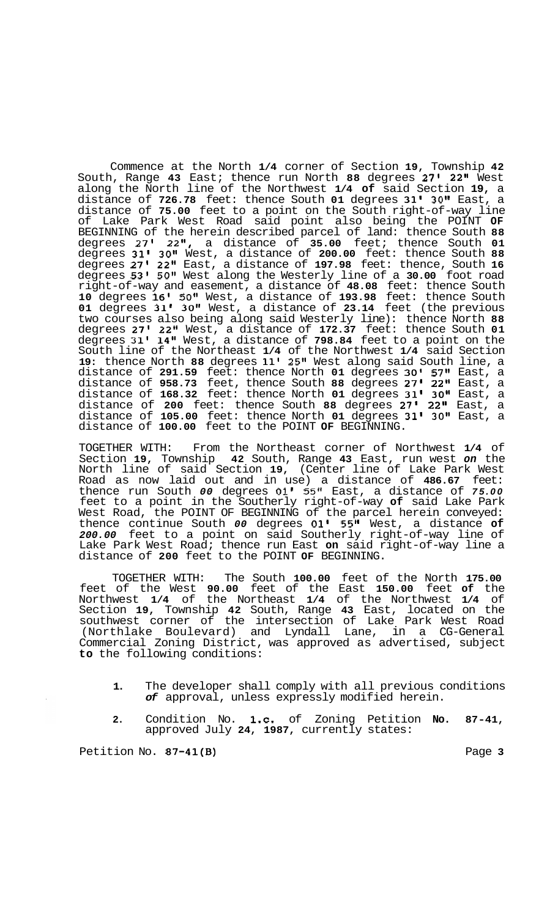Commence at the North **1/4** corner of Section **19,** Township **42**  South, Range **43** East; thence run North **88** degrees **27' 22''** West along the North line of the Northwest **1/4 of** said Section **19,** a distance of **726.78** feet: thence South **01** degrees **31' 30''** East, a distance of **75.00** feet to a point on the South right-of-way line of Lake Park West Road said point also being the POINT **OF**  BEGINNING of the herein described parcel of land: thence South **88**  degrees **27' 22",** a distance of **35.00** feet; thence South **01**  degrees **31' 30"** West, a distance of **200.00** feet: thence South **88**  degrees **27' 22"** East, a distance of **197.98** feet: thence, South **16**  degrees **53'** *50"* West along the Westerly line of a **30.00** foot road right-of-way and easement, a distance of **48.08** feet: thence South **10** degrees **16' 50"** West, a distance of **193.98** feet: thence South **01** degrees **31' 30"** West, a distance of **23.14** feet (the previous two courses also being along said Westerly line): thence North **88**  degrees **27' 22"** West, a distance of **172.37** feet: thence South **01**  degrees **31' 14"** West, a distance of **798.84** feet to a point on the South line of the Northeast **1/4** of the Northwest **1/4** said Section **19:** thence North **88** degrees **11' 25"** West along said South line, a distance of **291.59** feet: thence North **01** degrees **30' 57"** East, a distance of **958.73** feet, thence South **88** degrees **27' 22''** East, a distance of **168.32** feet: thence North **01** degrees **31' 30"** East, a distance of **200** feet: thence South **88** degrees **27' 22"** East, a distance of **105.00** feet: thence North **01** degrees **31' 30"** East, a distance of **100.00** feet to the POINT **OF** BEGINNING.

TOGETHER WITH: From the Northeast corner of Northwest **1/4** of Section **19,** Township **42** South, Range **43** East, run west *on* the North line of said Section **19,** (Center line of Lake Park West Road as now laid out and in use) a distance of **486.67** feet: thence run South *00* degrees **01'** 55" East, a distance of *75.00*  feet to a point in the Southerly right-of-way **of** said Lake Park West Road, the POINT OF BEGINNING of the parcel herein conveyed: thence continue South *00* degrees **01' 55"** West, a distance **of**  *200.00* feet to a point on said Southerly right-of-way line of Lake Park West Road; thence run East **on** said right-of-way line a distance of **200** feet to the POINT **OF** BEGINNING.

TOGETHER WITH: The South **100.00** feet of the North **175.00**  feet of the West **90.00** feet of the East **150.00** feet **of** the Northwest **1/4** of the Northeast **1/4** of the Northwest **1/4** of Section **19,** Township **42** South, Range **43** East, located on the southwest corner of the intersection of Lake Park West Road (Northlake Boulevard) and Lyndall Lane, in a CG-General Commercial Zoning District, was approved as advertised, subject **to** the following conditions:

- **1.** The developer shall comply with all previous conditions *of* approval, unless expressly modified herein.
- **2.** Condition No. **1.c.** of Zoning Petition **No. 87-41,**  approved July **24, 1987,** currently states:

Petition No. 87-41(B) **Page 3 Page 3**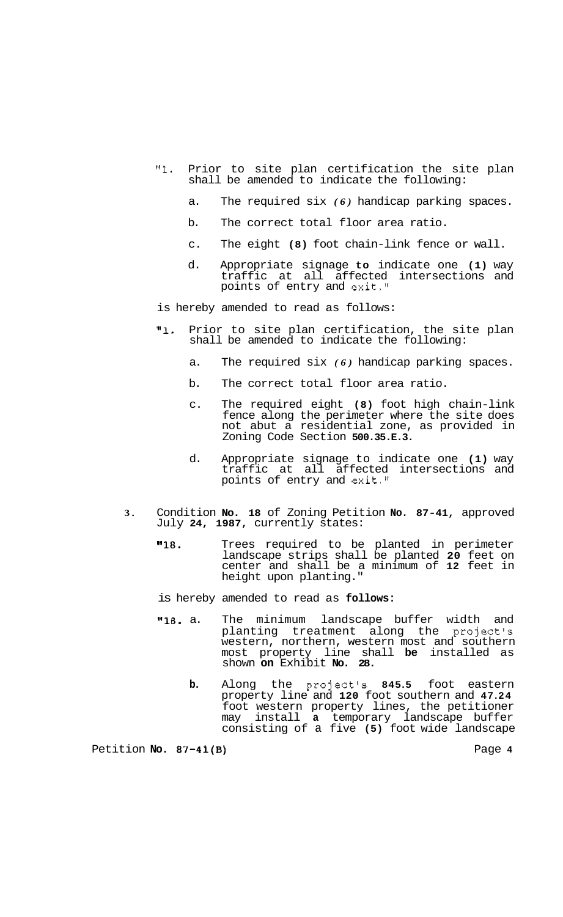- **"1.** Prior to site plan certification the site plan shall be amended to indicate the following:
	- a. The required six *(6)* handicap parking spaces.
	- b. The correct total floor area ratio.
	- c. The eight **(8)** foot chain-link fence or wall.
	- d. Appropriate signage **to** indicate one **(1)** way traffic at all affected intersections and points of entry and exit."
- is hereby amended to read as follows:
- **"1.** Prior to site plan certification, the site plan shall be amended to indicate the following:
	- a. The required six *(6)* handicap parking spaces.
	- b. The correct total floor area ratio.
	- c. The required eight **(8)** foot high chain-link fence along the perimeter where the site does not abut a residential zone, as provided in Zoning Code Section **500.35.E.3.**
	- d. Appropriate signage to indicate one **(1)** way traffic at all affected intersections and points of entry and exit."
- **3.** Condition **No. 18** of Zoning Petition **No. 87-41,** approved July **24, 1987,** currently states:
	- **"18.** Trees required to be planted in perimeter landscape strips shall be planted **20** feet on center and shall be a minimum of **12** feet in height upon planting."

is hereby amended to read as **follows:** 

- **"18.** a. The minimum landscape buffer width and planting treatment along the project's western, northern, western most and southern most property line shall **be** installed as shown **on** Exhibit **No. 28.** 
	- **b.** Along the project's **845.5** foot eastern property line and **120** foot southern and **47.24**  foot western property lines, the petitioner may install **a** temporary landscape buffer consisting of a five **(5)** foot wide landscape

Petition **No. 87-41(B) Page 4 Page 4**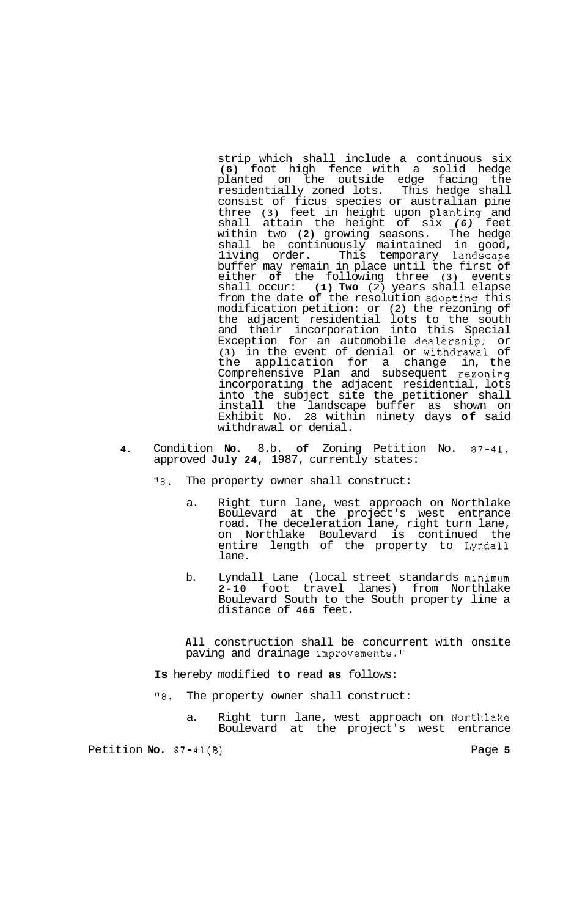strip which shall include a continuous six **(6)** foot high fence with a solid hedge planted on the outside edge facing the residentially zoned lots. This hedge shall consist of ficus species or australian pine three **(3)** feet in height upon planting and shall attain the height of six *(6)* feet within two **(2)** growing seasons. The hedge shall be continuously maintained in good, 1iving order. This temporary landscape buffer may remain in place until the first **of**  either **of** the following three **(3)** events shall occur: **(1) Two** (2) years shall elapse from the date **of** the resolution adopting this modification petition: or (2) the rezoning **of**  the adjacent residential lots to the south and their incorporation into this Special Exception for an automobile dealership; or **(3)** in the event of denial or withdrawal of the application for a change in, the Comprehensive Plan and subsequent rexoning incorporating the adjacent residential, lots into the subject site the petitioner shall install the landscape buffer as shown on Exhibit No. 28 within ninety days **of** said withdrawal or denial.

- **4.** Condition **No.** 8.b. **of** Zoning Petition No. 87-41, approved July 24, 1987, currently states:
	- *"8.* The property owner shall construct:
		- a. Right turn lane, west approach on Northlake Boulevard at the project's west entrance road. The deceleration lane, right turn lane, on Northlake Boulevard is continued the entire length of the property to Lyndall lane.
		- b. Lyndall Lane (local street standards minimum<br>2-10 foot travel lanes) from Northlake **2-10** foot travel lanes) from Northlake Boulevard South to the South property line a distance of **465** feet.

**All** construction shall be concurrent with onsite paving and drainage improvements."

**Is** hereby modified **to** read **as** follows:

- *"8.* The property owner shall construct:
	- a. Right turn lane, west approach on Northlake Boulevard at the project's west entrance

Petition **No.**  $37-41(B)$  Page 5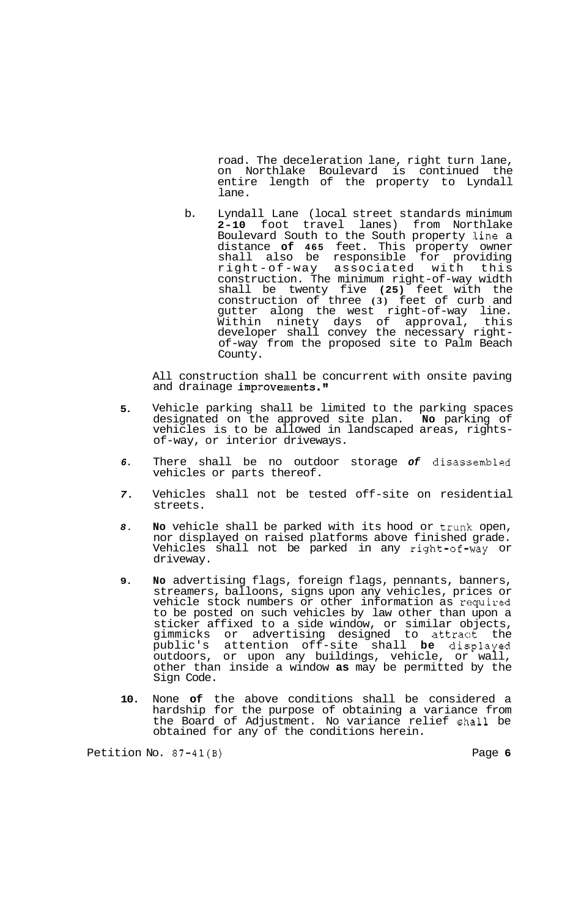road. The deceleration lane, right turn lane, on Northlake Boulevard is continued the entire length of the property to Lyndall lane.

b. Lyndall Lane (local street standards minimum **2-10** foot travel lanes) from Northlake Boulevard South to the South property line a distance **of 465** feet. This property owner shall also be responsible for providing right-of-way associated with this construction. The minimum right-of-way width shall be twenty five **(25)** feet with the construction of three **(3)** feet of curb and gutter along the west right-of-way line. Within ninety days of approval, this of-way from the proposed site to Palm Beach County.

All construction shall be concurrent with onsite paving and drainage improvements."

- **5.**  Vehicle parking shall be limited to the parking spaces designated on the approved site plan. **No** parking of vehicles is to be allowed in landscaped areas, rights- of-way, or interior driveways.
- *6.*  There shall be no outdoor storage *of* disassembled vehicles or parts thereof.
- *7.*  Vehicles shall not be tested off-site on residential streets.
- *8.*  **No** vehicle shall be parked with its hood or trunk; open, nor displayed on raised platforms above finished grade. Vehicles shall not be parked in any right-of--way or driveway.
- **9. No** advertising flags, foreign flags, pennants, banners, streamers, balloons, signs upon any vehicles, prices or vehicle stock numbers or other information as required to be posted on such vehicles by law other than upon a sticker affixed to a side window, or similar objects, gimmicks or advertising designed to attract the public's attention off-site shall **be** displayed outdoors, or upon any buildings, vehicle, or wall, other than inside a window **as** may be permitted by the Sign Code.
- **10.**  None **of** the above conditions shall be considered a hardship for the purpose of obtaining a variance from the Board of Adjustment. No variance relief shall be obtained for any of the conditions herein.

Petition No. **87-41(B)** Page **6**